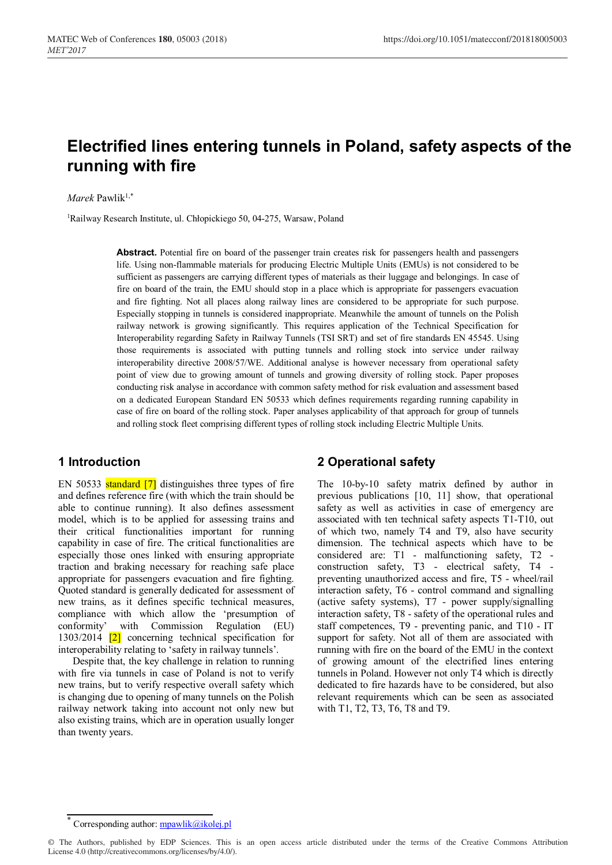# **Electrified lines entering tunnels in Poland, safety aspects of the running with fire**

 $Marek$  Pawlik<sup>1,\*</sup>

1 Railway Research Institute, ul. Chłopickiego 50, 04-275, Warsaw, Poland

**Abstract.** Potential fire on board of the passenger train creates risk for passengers health and passengers life. Using non-flammable materials for producing Electric Multiple Units (EMUs) is not considered to be sufficient as passengers are carrying different types of materials as their luggage and belongings. In case of fire on board of the train, the EMU should stop in a place which is appropriate for passengers evacuation and fire fighting. Not all places along railway lines are considered to be appropriate for such purpose. Especially stopping in tunnels is considered inappropriate. Meanwhile the amount of tunnels on the Polish railway network is growing significantly. This requires application of the Technical Specification for Interoperability regarding Safety in Railway Tunnels (TSI SRT) and set of fire standards EN 45545. Using those requirements is associated with putting tunnels and rolling stock into service under railway interoperability directive 2008/57/WE. Additional analyse is however necessary from operational safety point of view due to growing amount of tunnels and growing diversity of rolling stock. Paper proposes conducting risk analyse in accordance with common safety method for risk evaluation and assessment based on a dedicated European Standard EN 50533 which defines requirements regarding running capability in case of fire on board of the rolling stock. Paper analyses applicability of that approach for group of tunnels and rolling stock fleet comprising different types of rolling stock including Electric Multiple Units.

## **1 Introduction**

EN 50533 standard [7] distinguishes three types of fire and defines reference fire (with which the train should be able to continue running). It also defines assessment model, which is to be applied for assessing trains and their critical functionalities important for running capability in case of fire. The critical functionalities are especially those ones linked with ensuring appropriate traction and braking necessary for reaching safe place appropriate for passengers evacuation and fire fighting. Quoted standard is generally dedicated for assessment of new trains, as it defines specific technical measures, compliance with which allow the 'presumption of conformity' with Commission Regulation (EU) 1303/2014 [2] concerning technical specification for interoperability relating to 'safety in railway tunnels'.

Despite that, the key challenge in relation to running with fire via tunnels in case of Poland is not to verify new trains, but to verify respective overall safety which is changing due to opening of many tunnels on the Polish railway network taking into account not only new but also existing trains, which are in operation usually longer than twenty years.

## **2 Operational safety**

The 10-by-10 safety matrix defined by author in previous publications [10, 11] show, that operational safety as well as activities in case of emergency are associated with ten technical safety aspects T1-T10, out of which two, namely T4 and T9, also have security dimension. The technical aspects which have to be considered are: T1 - malfunctioning safety, T2 construction safety, T3 - electrical safety, T4 preventing unauthorized access and fire, T5 - wheel/rail interaction safety, T6 - control command and signalling (active safety systems), T7 - power supply/signalling interaction safety, T8 - safety of the operational rules and staff competences, T9 - preventing panic, and T10 - IT support for safety. Not all of them are associated with running with fire on the board of the EMU in the context of growing amount of the electrified lines entering tunnels in Poland. However not only T4 which is directly dedicated to fire hazards have to be considered, but also relevant requirements which can be seen as associated with T1, T2, T3, T6, T8 and T9.

Corresponding author:  $mpawlik@ikolej.pl$ 

<sup>©</sup> The Authors, published by EDP Sciences. This is an open access article distributed under the terms of the Creative Commons Attribution License 4.0 (http://creativecommons.org/licenses/by/4.0/).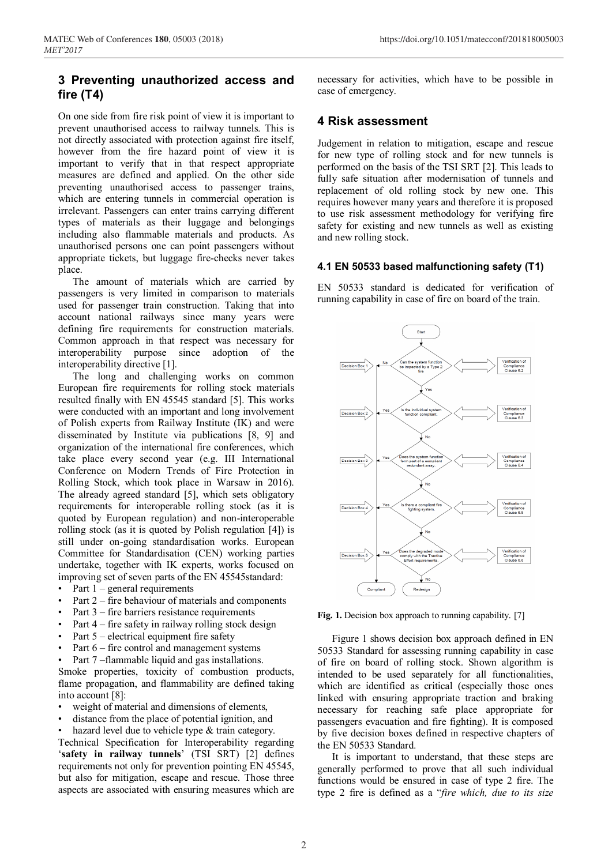# **3 Preventing unauthorized access and fire (T4)**

On one side from fire risk point of view it is important to prevent unauthorised access to railway tunnels. This is not directly associated with protection against fire itself, however from the fire hazard point of view it is important to verify that in that respect appropriate measures are defined and applied. On the other side preventing unauthorised access to passenger trains, which are entering tunnels in commercial operation is irrelevant. Passengers can enter trains carrying different types of materials as their luggage and belongings including also flammable materials and products. As unauthorised persons one can point passengers without appropriate tickets, but luggage fire-checks never takes place.

The amount of materials which are carried by passengers is very limited in comparison to materials used for passenger train construction. Taking that into account national railways since many years were defining fire requirements for construction materials. Common approach in that respect was necessary for interoperability purpose since adoption of the interoperability directive [1].

The long and challenging works on common European fire requirements for rolling stock materials resulted finally with EN 45545 standard [5]. This works were conducted with an important and long involvement of Polish experts from Railway Institute (IK) and were disseminated by Institute via publications [8, 9] and organization of the international fire conferences, which take place every second year (e.g. III International Conference on Modern Trends of Fire Protection in Rolling Stock, which took place in Warsaw in 2016). The already agreed standard [5], which sets obligatory requirements for interoperable rolling stock (as it is quoted by European regulation) and non-interoperable rolling stock (as it is quoted by Polish regulation [4]) is still under on-going standardisation works. European Committee for Standardisation (CEN) working parties undertake, together with IK experts, works focused on improving set of seven parts of the EN 45545standard:

- Part  $1$  general requirements
- Part 2 fire behaviour of materials and components
- Part  $3$  fire barriers resistance requirements
- Part  $4$  fire safety in railway rolling stock design
- Part  $5$  electrical equipment fire safety
- Part  $6$  fire control and management systems
- Part 7 –flammable liquid and gas installations.

Smoke properties, toxicity of combustion products, flame propagation, and flammability are defined taking into account [8]:

- weight of material and dimensions of elements,
- distance from the place of potential ignition, and

hazard level due to vehicle type & train category.

Technical Specification for Interoperability regarding '**safety in railway tunnels**' (TSI SRT) [2] defines requirements not only for prevention pointing EN 45545, but also for mitigation, escape and rescue. Those three aspects are associated with ensuring measures which are necessary for activities, which have to be possible in case of emergency.

#### **4 Risk assessment**

Judgement in relation to mitigation, escape and rescue for new type of rolling stock and for new tunnels is performed on the basis of the TSI SRT [2]. This leads to fully safe situation after modernisation of tunnels and replacement of old rolling stock by new one. This requires however many years and therefore it is proposed to use risk assessment methodology for verifying fire safety for existing and new tunnels as well as existing and new rolling stock.

#### **4.1 EN 50533 based malfunctioning safety (T1)**

EN 50533 standard is dedicated for verification of running capability in case of fire on board of the train.



**Fig. 1.** Decision box approach to running capability. [7]

Figure 1 shows decision box approach defined in EN 50533 Standard for assessing running capability in case of fire on board of rolling stock. Shown algorithm is intended to be used separately for all functionalities, which are identified as critical (especially those ones linked with ensuring appropriate traction and braking necessary for reaching safe place appropriate for passengers evacuation and fire fighting). It is composed by five decision boxes defined in respective chapters of the EN 50533 Standard.

It is important to understand, that these steps are generally performed to prove that all such individual functions would be ensured in case of type 2 fire. The type 2 fire is defined as a "*fire which, due to its size*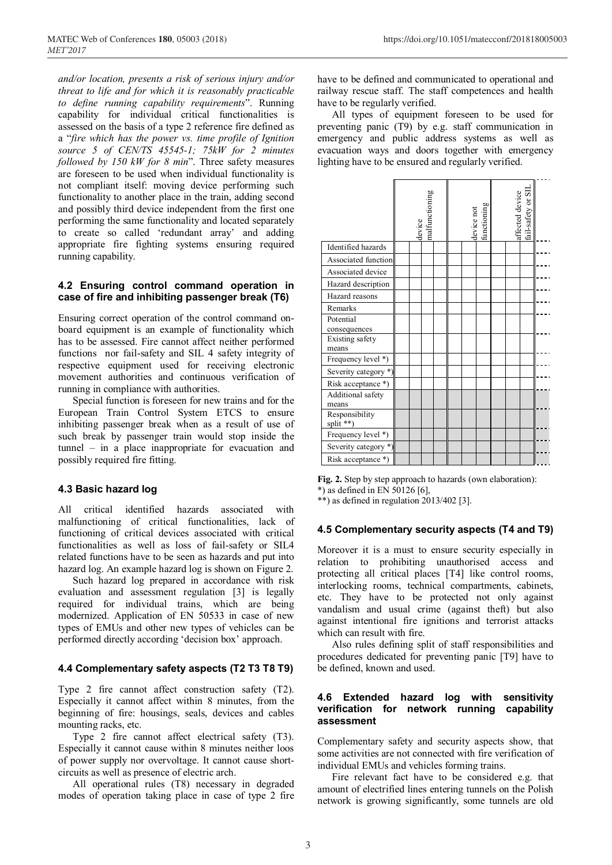*and/or location, presents a risk of serious injury and/or threat to life and for which it is reasonably practicable to define running capability requirements*". Running capability for individual critical functionalities is assessed on the basis of a type 2 reference fire defined as a "*fire which has the power vs. time profile of Ignition source 5 of CEN/TS 45545-1; 75kW for 2 minutes followed by 150 kW for 8 min*". Three safety measures are foreseen to be used when individual functionality is not compliant itself: moving device performing such functionality to another place in the train, adding second and possibly third device independent from the first one performing the same functionality and located separately to create so called 'redundant array' and adding appropriate fire fighting systems ensuring required running capability.

#### **4.2 Ensuring control command operation in case of fire and inhibiting passenger break (T6)**

Ensuring correct operation of the control command onboard equipment is an example of functionality which has to be assessed. Fire cannot affect neither performed functions nor fail-safety and SIL 4 safety integrity of respective equipment used for receiving electronic movement authorities and continuous verification of running in compliance with authorities.

Special function is foreseen for new trains and for the European Train Control System ETCS to ensure inhibiting passenger break when as a result of use of such break by passenger train would stop inside the tunnel – in a place inappropriate for evacuation and possibly required fire fitting.

## **4.3 Basic hazard log**

All critical identified hazards associated with malfunctioning of critical functionalities, lack of functioning of critical devices associated with critical functionalities as well as loss of fail-safety or SIL4 related functions have to be seen as hazards and put into hazard log. An example hazard log is shown on Figure 2.

Such hazard log prepared in accordance with risk evaluation and assessment regulation [3] is legally required for individual trains, which are being modernized. Application of EN 50533 in case of new types of EMUs and other new types of vehicles can be performed directly according 'decision box' approach.

#### **4.4 Complementary safety aspects (T2 T3 T8 T9)**

Type 2 fire cannot affect construction safety (T2). Especially it cannot affect within 8 minutes, from the beginning of fire: housings, seals, devices and cables mounting racks, etc.

Type 2 fire cannot affect electrical safety (T3). Especially it cannot cause within 8 minutes neither loos of power supply nor overvoltage. It cannot cause shortcircuits as well as presence of electric arch.

All operational rules (T8) necessary in degraded modes of operation taking place in case of type 2 fire have to be defined and communicated to operational and railway rescue staff. The staff competences and health have to be regularly verified.

All types of equipment foreseen to be used for preventing panic (T9) by e.g. staff communication in emergency and public address systems as well as evacuation ways and doors together with emergency lighting have to be ensured and regularly verified.

|                            | nalfunctioning<br>device |  |  |  | device not<br>functioning |  |  | affected device<br>fail-safety or SIL |  |  |  |
|----------------------------|--------------------------|--|--|--|---------------------------|--|--|---------------------------------------|--|--|--|
| Identified hazards         |                          |  |  |  |                           |  |  |                                       |  |  |  |
| Associated function        |                          |  |  |  |                           |  |  |                                       |  |  |  |
| Associated device          |                          |  |  |  |                           |  |  |                                       |  |  |  |
| Hazard description         |                          |  |  |  |                           |  |  |                                       |  |  |  |
| Hazard reasons             |                          |  |  |  |                           |  |  |                                       |  |  |  |
| Remarks                    |                          |  |  |  |                           |  |  |                                       |  |  |  |
| Potential                  |                          |  |  |  |                           |  |  |                                       |  |  |  |
| consequences               |                          |  |  |  |                           |  |  |                                       |  |  |  |
| Existing safety<br>means   |                          |  |  |  |                           |  |  |                                       |  |  |  |
| Frequency level *)         |                          |  |  |  |                           |  |  |                                       |  |  |  |
| Severity category *)       |                          |  |  |  |                           |  |  |                                       |  |  |  |
| Risk acceptance *)         |                          |  |  |  |                           |  |  |                                       |  |  |  |
| Additional safety          |                          |  |  |  |                           |  |  |                                       |  |  |  |
| means                      |                          |  |  |  |                           |  |  |                                       |  |  |  |
| Responsibility<br>split ** |                          |  |  |  |                           |  |  |                                       |  |  |  |
| Frequency level *)         |                          |  |  |  |                           |  |  |                                       |  |  |  |
| Severity category *)       |                          |  |  |  |                           |  |  |                                       |  |  |  |
| Risk acceptance *)         |                          |  |  |  |                           |  |  |                                       |  |  |  |

**Fig. 2.** Step by step approach to hazards (own elaboration):  $*$ ) as defined in EN 50126 [6].

 $**$ ) as defined in regulation 2013/402 [3].

## **4.5 Complementary security aspects (T4 and T9)**

Moreover it is a must to ensure security especially in relation to prohibiting unauthorised access and protecting all critical places [T4] like control rooms, interlocking rooms, technical compartments, cabinets, etc. They have to be protected not only against vandalism and usual crime (against theft) but also against intentional fire ignitions and terrorist attacks which can result with fire.

Also rules defining split of staff responsibilities and procedures dedicated for preventing panic [T9] have to be defined, known and used.

#### **4.6 Extended hazard log with sensitivity verification for network running capability assessment**

Complementary safety and security aspects show, that some activities are not connected with fire verification of individual EMUs and vehicles forming trains.

Fire relevant fact have to be considered e.g. that amount of electrified lines entering tunnels on the Polish network is growing significantly, some tunnels are old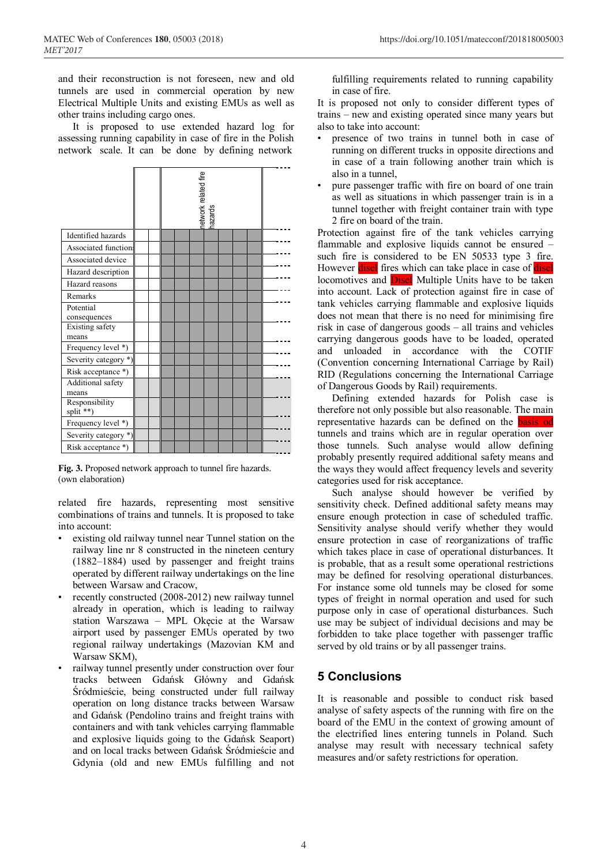and their reconstruction is not foreseen, new and old tunnels are used in commercial operation by new Electrical Multiple Units and existing EMUs as well as other trains including cargo ones.

It is proposed to use extended hazard log for assessing running capability in case of fire in the Polish network scale. It can be done by defining network

|                             | network related fire<br>hazards |  |  |  |  |  |  |  |  |  |
|-----------------------------|---------------------------------|--|--|--|--|--|--|--|--|--|
| Identified hazards          |                                 |  |  |  |  |  |  |  |  |  |
| Associated function         |                                 |  |  |  |  |  |  |  |  |  |
| Associated device           |                                 |  |  |  |  |  |  |  |  |  |
| Hazard description          |                                 |  |  |  |  |  |  |  |  |  |
| Hazard reasons              |                                 |  |  |  |  |  |  |  |  |  |
| Remarks                     |                                 |  |  |  |  |  |  |  |  |  |
| Potential                   |                                 |  |  |  |  |  |  |  |  |  |
| consequences                |                                 |  |  |  |  |  |  |  |  |  |
| Existing safety<br>means    |                                 |  |  |  |  |  |  |  |  |  |
| Frequency level *)          |                                 |  |  |  |  |  |  |  |  |  |
| Severity category *)        |                                 |  |  |  |  |  |  |  |  |  |
| Risk acceptance *)          |                                 |  |  |  |  |  |  |  |  |  |
| Additional safety<br>means  |                                 |  |  |  |  |  |  |  |  |  |
| Responsibility<br>split **) |                                 |  |  |  |  |  |  |  |  |  |
| Frequency level *)          |                                 |  |  |  |  |  |  |  |  |  |
| Severity category *)        |                                 |  |  |  |  |  |  |  |  |  |
| Risk acceptance *)          |                                 |  |  |  |  |  |  |  |  |  |

**Fig. 3.** Proposed network approach to tunnel fire hazards. (own elaboration)

related fire hazards, representing most sensitive combinations of trains and tunnels. It is proposed to take into account:

- existing old railway tunnel near Tunnel station on the railway line nr 8 constructed in the nineteen century (1882–1884) used by passenger and freight trains operated by different railway undertakings on the line between Warsaw and Cracow,
- recently constructed (2008-2012) new railway tunnel already in operation, which is leading to railway station Warszawa – MPL Okęcie at the Warsaw airport used by passenger EMUs operated by two regional railway undertakings (Mazovian KM and Warsaw SKM),
- railway tunnel presently under construction over four tracks between Gdańsk Główny and Gdańsk Śródmieście, being constructed under full railway operation on long distance tracks between Warsaw and Gdańsk (Pendolino trains and freight trains with containers and with tank vehicles carrying flammable and explosive liquids going to the Gdańsk Seaport) and on local tracks between Gdańsk Śródmieście and Gdynia (old and new EMUs fulfilling and not

fulfilling requirements related to running capability in case of fire.

It is proposed not only to consider different types of trains – new and existing operated since many years but also to take into account:

- presence of two trains in tunnel both in case of running on different trucks in opposite directions and in case of a train following another train which is also in a tunnel,
- pure passenger traffic with fire on board of one train as well as situations in which passenger train is in a tunnel together with freight container train with type 2 fire on board of the train.

Protection against fire of the tank vehicles carrying flammable and explosive liquids cannot be ensured – such fire is considered to be EN 50533 type 3 fire. However disel fires which can take place in case of disel locomotives and **Disel** Multiple Units have to be taken into account. Lack of protection against fire in case of tank vehicles carrying flammable and explosive liquids does not mean that there is no need for minimising fire risk in case of dangerous goods – all trains and vehicles carrying dangerous goods have to be loaded, operated and unloaded in accordance with the COTIF (Convention concerning International Carriage by Rail) RID (Regulations concerning the International Carriage of Dangerous Goods by Rail) requirements.

Defining extended hazards for Polish case is therefore not only possible but also reasonable. The main representative hazards can be defined on the basis od tunnels and trains which are in regular operation over those tunnels. Such analyse would allow defining probably presently required additional safety means and the ways they would affect frequency levels and severity categories used for risk acceptance.

Such analyse should however be verified by sensitivity check. Defined additional safety means may ensure enough protection in case of scheduled traffic. Sensitivity analyse should verify whether they would ensure protection in case of reorganizations of traffic which takes place in case of operational disturbances. It is probable, that as a result some operational restrictions may be defined for resolving operational disturbances. For instance some old tunnels may be closed for some types of freight in normal operation and used for such purpose only in case of operational disturbances. Such use may be subject of individual decisions and may be forbidden to take place together with passenger traffic served by old trains or by all passenger trains.

## **5 Conclusions**

It is reasonable and possible to conduct risk based analyse of safety aspects of the running with fire on the board of the EMU in the context of growing amount of the electrified lines entering tunnels in Poland. Such analyse may result with necessary technical safety measures and/or safety restrictions for operation.